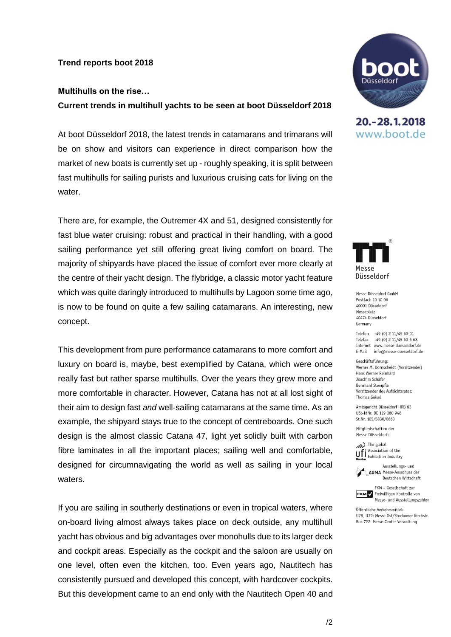## **Trend reports boot 2018**

## **Multihulls on the rise…**

**Current trends in multihull yachts to be seen at boot Düsseldorf 2018**

At boot Düsseldorf 2018, the latest trends in catamarans and trimarans will be on show and visitors can experience in direct comparison how the market of new boats is currently set up - roughly speaking, it is split between fast multihulls for sailing purists and luxurious cruising cats for living on the water.

There are, for example, the Outremer 4X and 51, designed consistently for fast blue water cruising: robust and practical in their handling, with a good sailing performance yet still offering great living comfort on board. The majority of shipyards have placed the issue of comfort ever more clearly at the centre of their yacht design. The flybridge, a classic motor yacht feature which was quite daringly introduced to multihulls by Lagoon some time ago, is now to be found on quite a few sailing catamarans. An interesting, new concept.

This development from pure performance catamarans to more comfort and luxury on board is, maybe, best exemplified by Catana, which were once really fast but rather sparse multihulls. Over the years they grew more and more comfortable in character. However, Catana has not at all lost sight of their aim to design fast *and* well-sailing catamarans at the same time. As an example, the shipyard stays true to the concept of centreboards. One such design is the almost classic Catana 47, light yet solidly built with carbon fibre laminates in all the important places; sailing well and comfortable, designed for circumnavigating the world as well as sailing in your local waters.

If you are sailing in southerly destinations or even in tropical waters, where on-board living almost always takes place on deck outside, any multihull yacht has obvious and big advantages over monohulls due to its larger deck and cockpit areas. Especially as the cockpit and the saloon are usually on one level, often even the kitchen, too. Even years ago, Nautitech has consistently pursued and developed this concept, with hardcover cockpits. But this development came to an end only with the Nautitech Open 40 and



20. - 28. 1. 2018 www.boot.de



Messe Düsseldorf GmbH Postfach 10 10 06 40001 Diisseldorf Messeplatz 40474 Diisseldorf Germany

Telefon +49 (0) 2 11/45 60-01 Telefax +49 (0) 2 11/45 60-6 68 Internet www.messe-duesseldorf.de E-Mail info@messe-duesseldorf.de

Geschäftsführung: Werner M. Dornscheidt (Vorsitzender) Hans Werner Reinhard Joachim Schäfer **Bernhard Stempfle** Vorsitzender des Aufsichtsrates: **Thomas Geisel** 

Amtsgericht Düsseldorf HRB 63 USt-IdNr. DE 119 360 948 St.Nr. 105/5830/0663

Mitgliedschaften der Messe Düsseldorf:

(b) The global Association of the **UFI** Association of the<br>**Member** Exhibition Industry

Ausstellungs- und **AIIMA** Messe-Ausschuss der Deutschen Wirtschaft

FKM - Gesellschaft zur **FKM** / Freiwilligen Kontrolle von Messe- und Ausstellungszahlen

Öffentliche Verkehrsmittel: U78, U79: Messe Ost/Stockumer Kirchstr. Bus 722: Messe-Center Verwaltung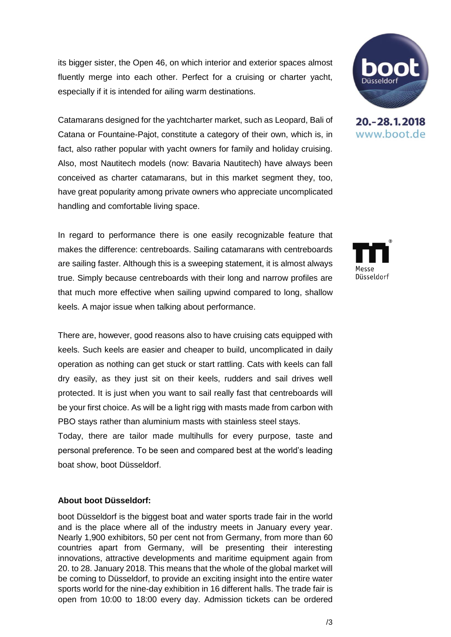its bigger sister, the Open 46, on which interior and exterior spaces almost fluently merge into each other. Perfect for a cruising or charter yacht, especially if it is intended for ailing warm destinations.

Catamarans designed for the yachtcharter market, such as Leopard, Bali of Catana or Fountaine-Pajot, constitute a category of their own, which is, in fact, also rather popular with yacht owners for family and holiday cruising. Also, most Nautitech models (now: Bavaria Nautitech) have always been conceived as charter catamarans, but in this market segment they, too, have great popularity among private owners who appreciate uncomplicated handling and comfortable living space.

In regard to performance there is one easily recognizable feature that makes the difference: centreboards. Sailing catamarans with centreboards are sailing faster. Although this is a sweeping statement, it is almost always true. Simply because centreboards with their long and narrow profiles are that much more effective when sailing upwind compared to long, shallow keels. A major issue when talking about performance.

There are, however, good reasons also to have cruising cats equipped with keels. Such keels are easier and cheaper to build, uncomplicated in daily operation as nothing can get stuck or start rattling. Cats with keels can fall dry easily, as they just sit on their keels, rudders and sail drives well protected. It is just when you want to sail really fast that centreboards will be your first choice. As will be a light rigg with masts made from carbon with PBO stays rather than aluminium masts with stainless steel stays.

Today, there are tailor made multihulls for every purpose, taste and personal preference. To be seen and compared best at the world's leading boat show, boot Düsseldorf.

## **About boot Düsseldorf:**

boot Düsseldorf is the biggest boat and water sports trade fair in the world and is the place where all of the industry meets in January every year. Nearly 1,900 exhibitors, 50 per cent not from Germany, from more than 60 countries apart from Germany, will be presenting their interesting innovations, attractive developments and maritime equipment again from 20. to 28. January 2018. This means that the whole of the global market will be coming to Düsseldorf, to provide an exciting insight into the entire water sports world for the nine-day exhibition in 16 different halls. The trade fair is open from 10:00 to 18:00 every day. Admission tickets can be ordered



20. - 28. 1. 2018 www.boot.de